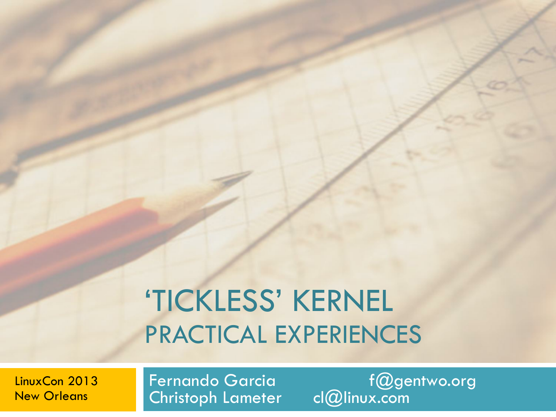# 'TICKLESS' KERNEL PRACTICAL EXPERIENCES

LinuxCon 2013 New Orleans

Christoph Lameter

Fernando Garcia f@gentwo.org<br>Christoph Lameter cl@linux.com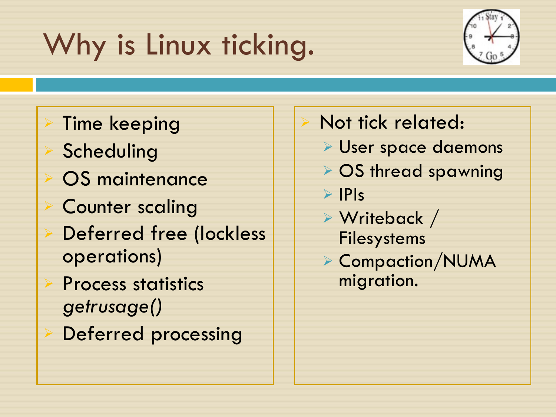# Why is Linux ticking.



**Time keeping** Scheduling OS maintenance **Counter scaling** Deferred free (lockless operations) Process statistics *getrusage()*  Deferred processing

#### Not tick related:

- <sup>Ø</sup> User space daemons
- **▶ OS thread spawning**

 $\triangleright$  IPIs

- $\triangleright$  Writeback / Filesystems
- <sup>Ø</sup> Compaction/NUMA migration.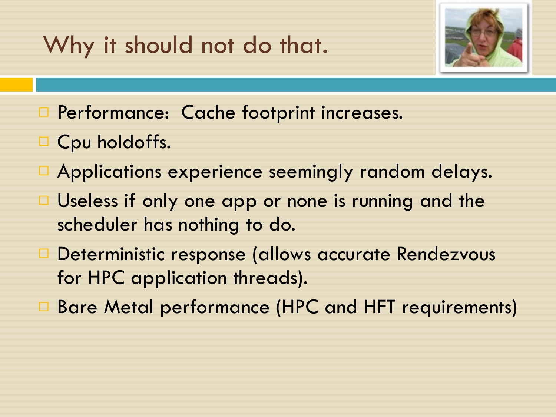#### Why it should not do that.



- □ Performance: Cache footprint increases.
- □ Cpu holdoffs.
- □ Applications experience seemingly random delays.
- $\Box$  Useless if only one app or none is running and the scheduler has nothing to do.
- □ Deterministic response (allows accurate Rendezvous for HPC application threads).
- □ Bare Metal performance (HPC and HFT requirements)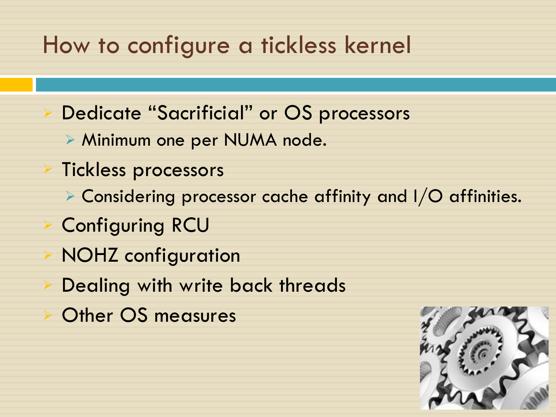#### How to configure a tickless kernel

- Dedicate "Sacrificial" or OS processors
	- <sup>Ø</sup> Minimum one per NUMA node.
- **Tickless processors** 
	- $\triangleright$  Considering processor cache affinity and I/O affinities.
- <sup>Ø</sup> Configuring RCU
- **NOHZ** configuration
- Dealing with write back threads
- Other OS measures

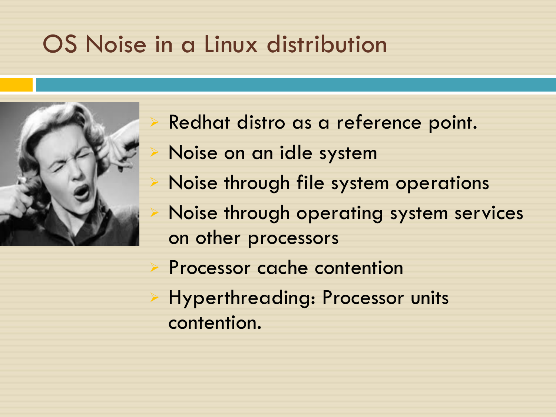#### OS Noise in a Linux distribution



Redhat distro as a reference point. Noise on an idle system Noise through file system operations Noise through operating system services on other processors Processor cache contention Hyperthreading: Processor units contention.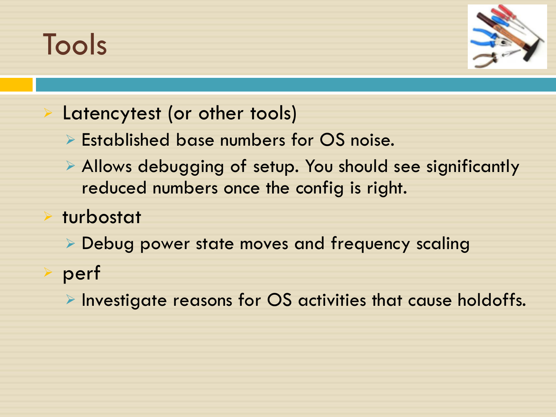### Tools



#### Latencytest (or other tools)

- $\triangleright$  Established base numbers for OS noise.
- $\triangleright$  Allows debugging of setup. You should see significantly reduced numbers once the config is right.
- turbostat
	- $\triangleright$  Debug power state moves and frequency scaling
- perf
	- $\triangleright$  Investigate reasons for OS activities that cause holdoffs.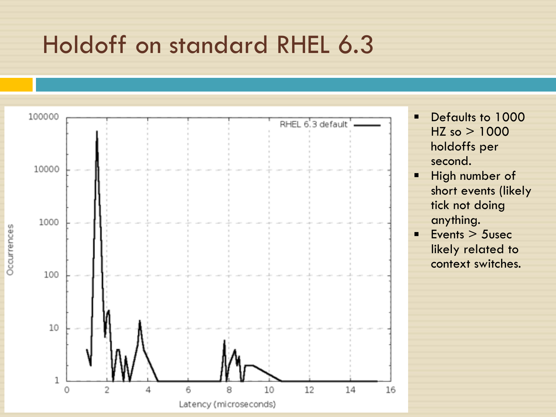#### Holdoff on standard RHEL 6.3

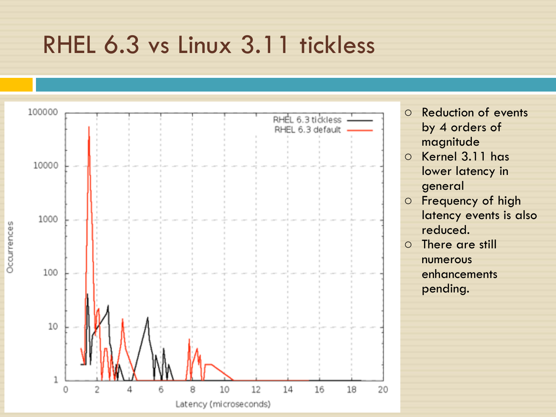#### RHEL 6.3 vs Linux 3.11 tickless

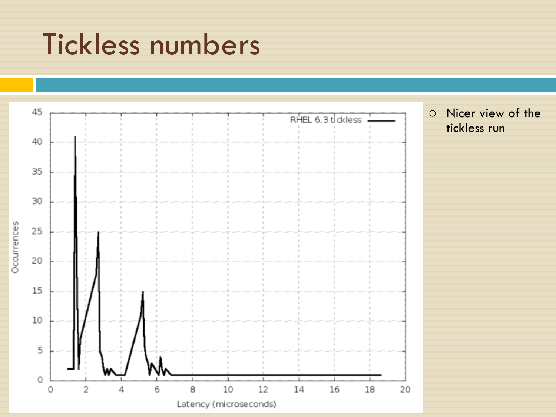### Tickless numbers

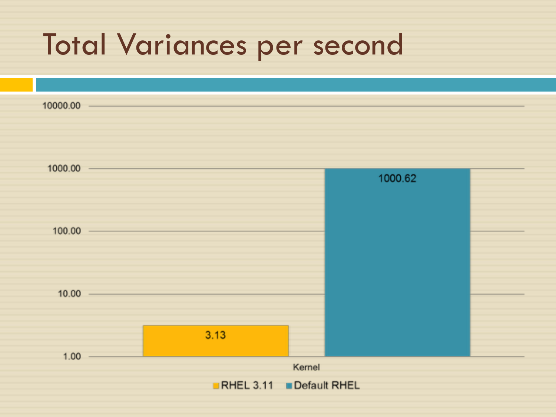#### Total Variances per second

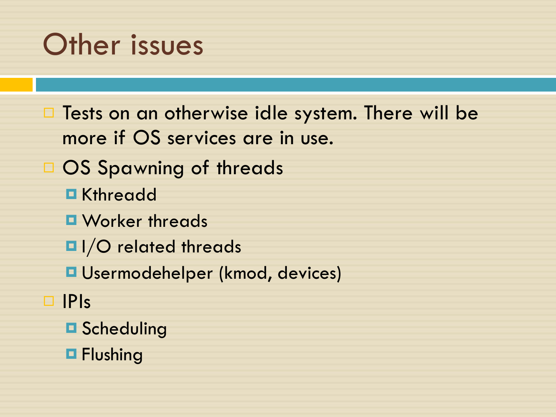### Other issues

 $\Box$  Tests on an otherwise idle system. There will be more if OS services are in use. □ OS Spawning of threads ■ Kthreadd ¤ Worker threads  $\blacksquare$  I/O related threads ■ Usermodehelper (kmod, devices) ¨ IPIs **□ Scheduling** 

**□ Flushing**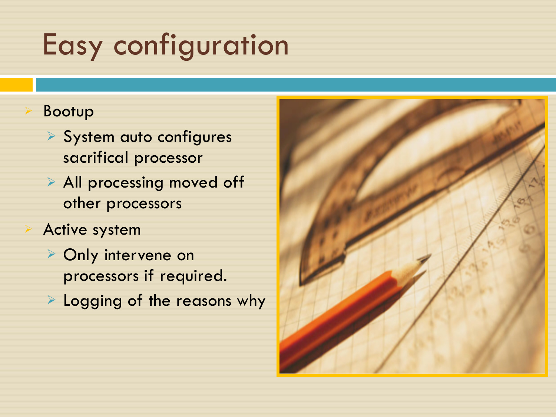## Easy configuration

#### <sup>Ø</sup> Bootup

- $\triangleright$  System auto configures sacrifical processor
- $\triangleright$  All processing moved off other processors
- Active system
- **▶ Only intervene on** processors if required.
- $\triangleright$  Logging of the reasons why

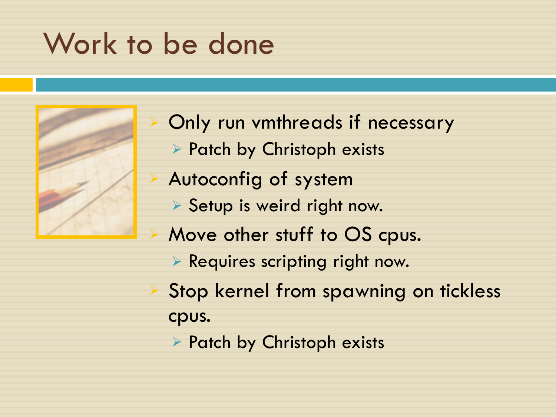### Work to be done



Only run vmthreads if necessary <sup>Ø</sup> Patch by Christoph exists <sup>Ø</sup> Autoconfig of system **Setup is weird right now.** Move other stuff to OS cpus.  $\triangleright$  Requires scripting right now. Stop kernel from spawning on tickless cpus.  $\triangleright$  Patch by Christoph exists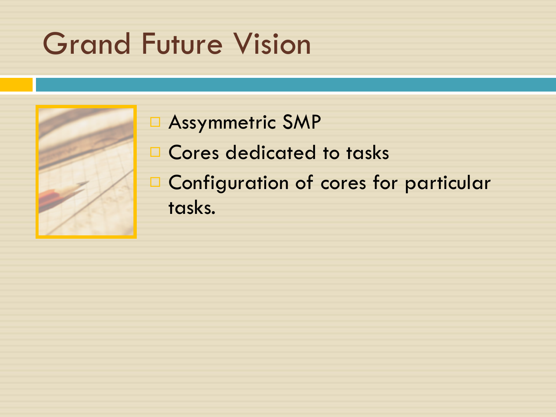## Grand Future Vision



#### □ Assymmetric SMP □ Cores dedicated to tasks □ Configuration of cores for particular tasks.